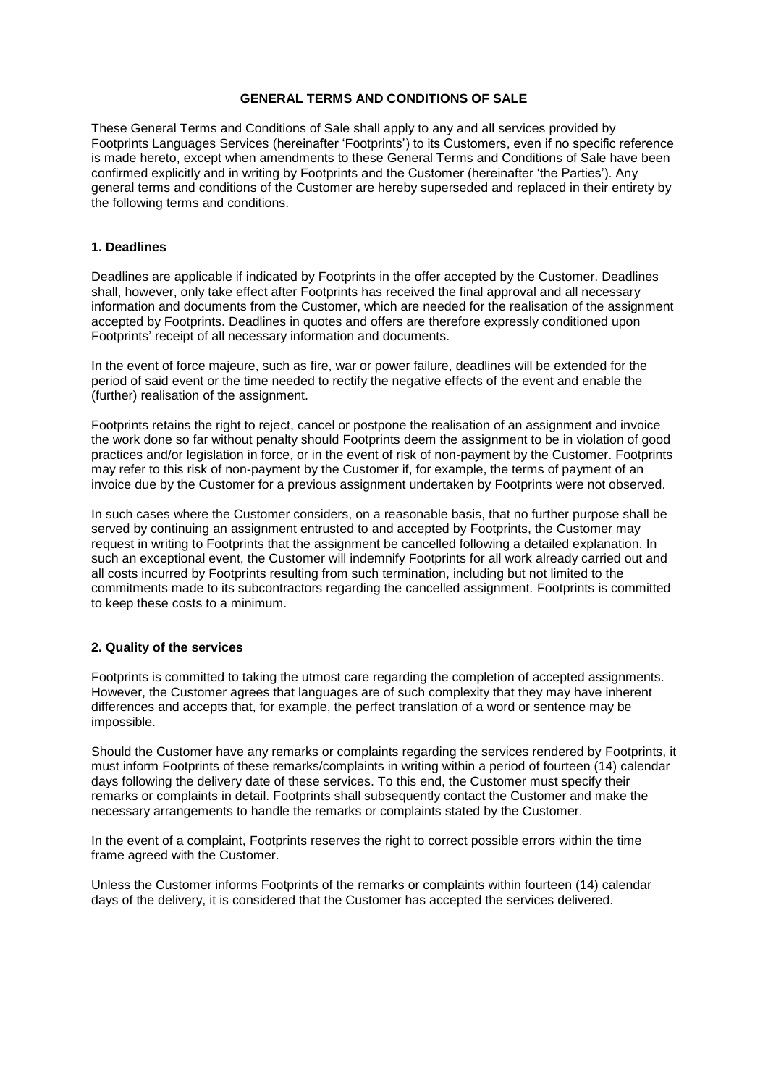#### **GENERAL TERMS AND CONDITIONS OF SALE**

These General Terms and Conditions of Sale shall apply to any and all services provided by Footprints Languages Services (hereinafter 'Footprints') to its Customers, even if no specific reference is made hereto, except when amendments to these General Terms and Conditions of Sale have been confirmed explicitly and in writing by Footprints and the Customer (hereinafter 'the Parties'). Any general terms and conditions of the Customer are hereby superseded and replaced in their entirety by the following terms and conditions.

### **1. Deadlines**

Deadlines are applicable if indicated by Footprints in the offer accepted by the Customer. Deadlines shall, however, only take effect after Footprints has received the final approval and all necessary information and documents from the Customer, which are needed for the realisation of the assignment accepted by Footprints. Deadlines in quotes and offers are therefore expressly conditioned upon Footprints' receipt of all necessary information and documents.

In the event of force majeure, such as fire, war or power failure, deadlines will be extended for the period of said event or the time needed to rectify the negative effects of the event and enable the (further) realisation of the assignment.

Footprints retains the right to reject, cancel or postpone the realisation of an assignment and invoice the work done so far without penalty should Footprints deem the assignment to be in violation of good practices and/or legislation in force, or in the event of risk of non-payment by the Customer. Footprints may refer to this risk of non-payment by the Customer if, for example, the terms of payment of an invoice due by the Customer for a previous assignment undertaken by Footprints were not observed.

In such cases where the Customer considers, on a reasonable basis, that no further purpose shall be served by continuing an assignment entrusted to and accepted by Footprints, the Customer may request in writing to Footprints that the assignment be cancelled following a detailed explanation. In such an exceptional event, the Customer will indemnify Footprints for all work already carried out and all costs incurred by Footprints resulting from such termination, including but not limited to the commitments made to its subcontractors regarding the cancelled assignment. Footprints is committed to keep these costs to a minimum.

# **2. Quality of the services**

Footprints is committed to taking the utmost care regarding the completion of accepted assignments. However, the Customer agrees that languages are of such complexity that they may have inherent differences and accepts that, for example, the perfect translation of a word or sentence may be impossible.

Should the Customer have any remarks or complaints regarding the services rendered by Footprints, it must inform Footprints of these remarks/complaints in writing within a period of fourteen (14) calendar days following the delivery date of these services. To this end, the Customer must specify their remarks or complaints in detail. Footprints shall subsequently contact the Customer and make the necessary arrangements to handle the remarks or complaints stated by the Customer.

In the event of a complaint, Footprints reserves the right to correct possible errors within the time frame agreed with the Customer.

Unless the Customer informs Footprints of the remarks or complaints within fourteen (14) calendar days of the delivery, it is considered that the Customer has accepted the services delivered.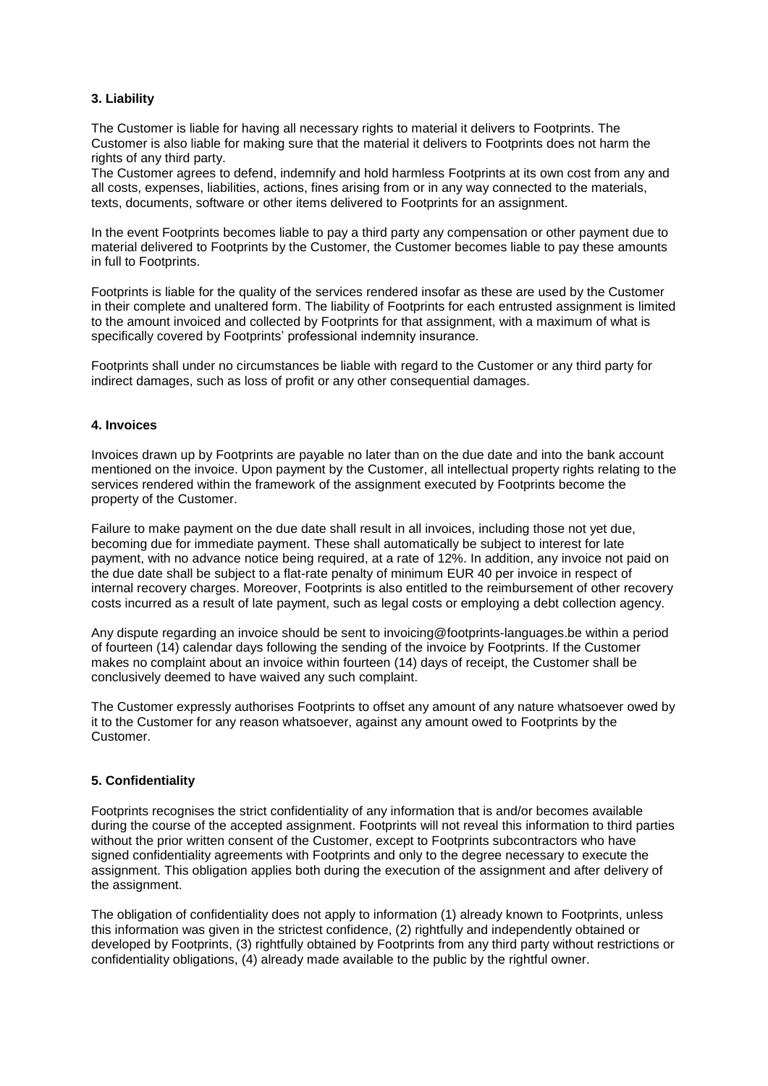# **3. Liability**

The Customer is liable for having all necessary rights to material it delivers to Footprints. The Customer is also liable for making sure that the material it delivers to Footprints does not harm the rights of any third party.

The Customer agrees to defend, indemnify and hold harmless Footprints at its own cost from any and all costs, expenses, liabilities, actions, fines arising from or in any way connected to the materials, texts, documents, software or other items delivered to Footprints for an assignment.

In the event Footprints becomes liable to pay a third party any compensation or other payment due to material delivered to Footprints by the Customer, the Customer becomes liable to pay these amounts in full to Footprints.

Footprints is liable for the quality of the services rendered insofar as these are used by the Customer in their complete and unaltered form. The liability of Footprints for each entrusted assignment is limited to the amount invoiced and collected by Footprints for that assignment, with a maximum of what is specifically covered by Footprints' professional indemnity insurance.

Footprints shall under no circumstances be liable with regard to the Customer or any third party for indirect damages, such as loss of profit or any other consequential damages.

#### **4. Invoices**

Invoices drawn up by Footprints are payable no later than on the due date and into the bank account mentioned on the invoice. Upon payment by the Customer, all intellectual property rights relating to the services rendered within the framework of the assignment executed by Footprints become the property of the Customer.

Failure to make payment on the due date shall result in all invoices, including those not yet due, becoming due for immediate payment. These shall automatically be subject to interest for late payment, with no advance notice being required, at a rate of 12%. In addition, any invoice not paid on the due date shall be subject to a flat-rate penalty of minimum EUR 40 per invoice in respect of internal recovery charges. Moreover, Footprints is also entitled to the reimbursement of other recovery costs incurred as a result of late payment, such as legal costs or employing a debt collection agency.

Any dispute regarding an invoice should be sent to invoicing@footprints-languages.be within a period of fourteen (14) calendar days following the sending of the invoice by Footprints. If the Customer makes no complaint about an invoice within fourteen (14) days of receipt, the Customer shall be conclusively deemed to have waived any such complaint.

The Customer expressly authorises Footprints to offset any amount of any nature whatsoever owed by it to the Customer for any reason whatsoever, against any amount owed to Footprints by the Customer.

#### **5. Confidentiality**

Footprints recognises the strict confidentiality of any information that is and/or becomes available during the course of the accepted assignment. Footprints will not reveal this information to third parties without the prior written consent of the Customer, except to Footprints subcontractors who have signed confidentiality agreements with Footprints and only to the degree necessary to execute the assignment. This obligation applies both during the execution of the assignment and after delivery of the assignment.

The obligation of confidentiality does not apply to information (1) already known to Footprints, unless this information was given in the strictest confidence, (2) rightfully and independently obtained or developed by Footprints, (3) rightfully obtained by Footprints from any third party without restrictions or confidentiality obligations, (4) already made available to the public by the rightful owner.